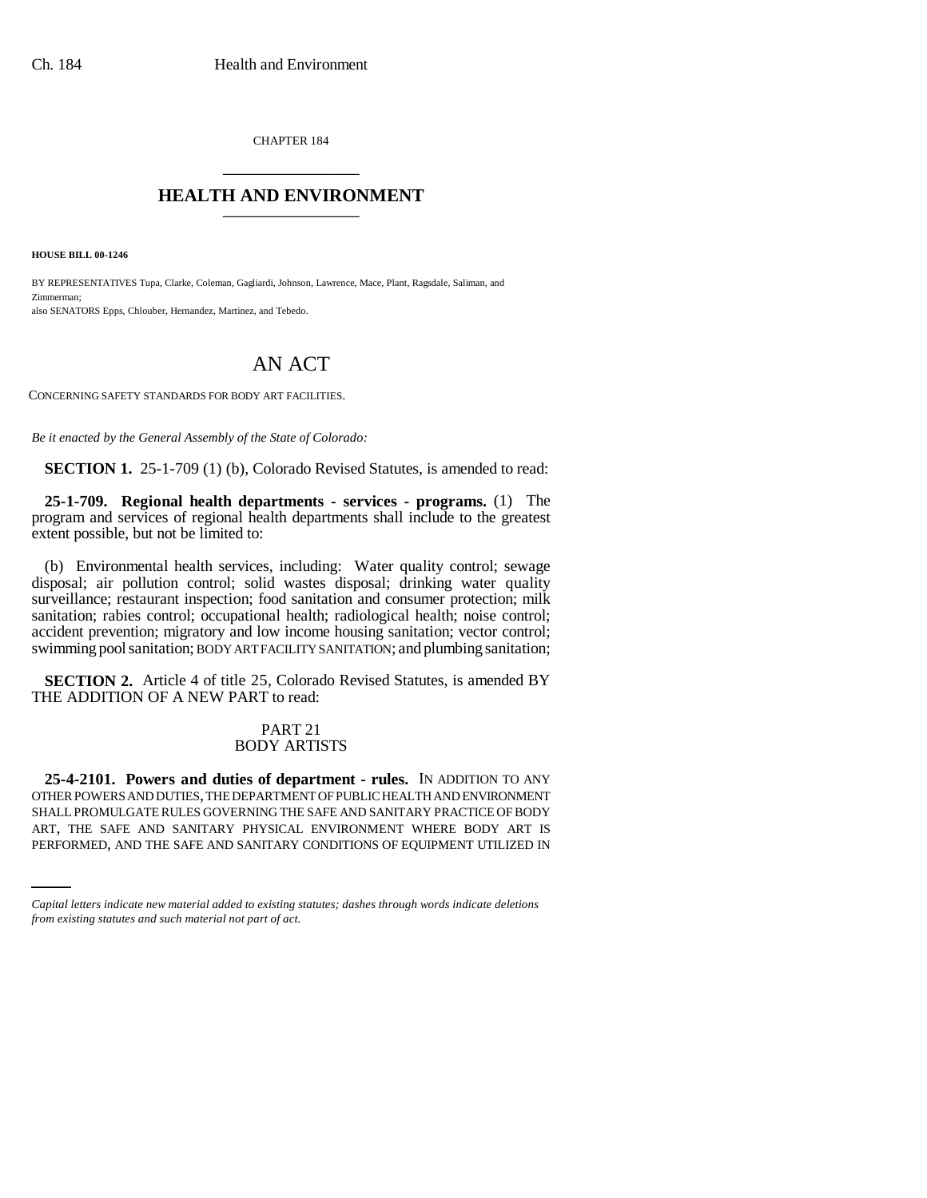CHAPTER 184 \_\_\_\_\_\_\_\_\_\_\_\_\_\_\_

## **HEALTH AND ENVIRONMENT** \_\_\_\_\_\_\_\_\_\_\_\_\_\_\_

**HOUSE BILL 00-1246** 

BY REPRESENTATIVES Tupa, Clarke, Coleman, Gagliardi, Johnson, Lawrence, Mace, Plant, Ragsdale, Saliman, and Zimmerman; also SENATORS Epps, Chlouber, Hernandez, Martinez, and Tebedo.

## AN ACT

CONCERNING SAFETY STANDARDS FOR BODY ART FACILITIES.

*Be it enacted by the General Assembly of the State of Colorado:*

**SECTION 1.** 25-1-709 (1) (b), Colorado Revised Statutes, is amended to read:

**25-1-709. Regional health departments - services - programs.** (1) The program and services of regional health departments shall include to the greatest extent possible, but not be limited to:

(b) Environmental health services, including: Water quality control; sewage disposal; air pollution control; solid wastes disposal; drinking water quality surveillance; restaurant inspection; food sanitation and consumer protection; milk sanitation; rabies control; occupational health; radiological health; noise control; accident prevention; migratory and low income housing sanitation; vector control; swimming pool sanitation; BODY ART FACILITY SANITATION; and plumbing sanitation;

**SECTION 2.** Article 4 of title 25, Colorado Revised Statutes, is amended BY THE ADDITION OF A NEW PART to read:

## PART 21 BODY ARTISTS

SHALL PROMULGATE RULES GOVERNING THE SAFE AND SANITARY PRACTICE OF BODY **25-4-2101. Powers and duties of department - rules.** IN ADDITION TO ANY OTHER POWERS AND DUTIES, THE DEPARTMENT OF PUBLIC HEALTH AND ENVIRONMENT ART, THE SAFE AND SANITARY PHYSICAL ENVIRONMENT WHERE BODY ART IS PERFORMED, AND THE SAFE AND SANITARY CONDITIONS OF EQUIPMENT UTILIZED IN

*Capital letters indicate new material added to existing statutes; dashes through words indicate deletions from existing statutes and such material not part of act.*